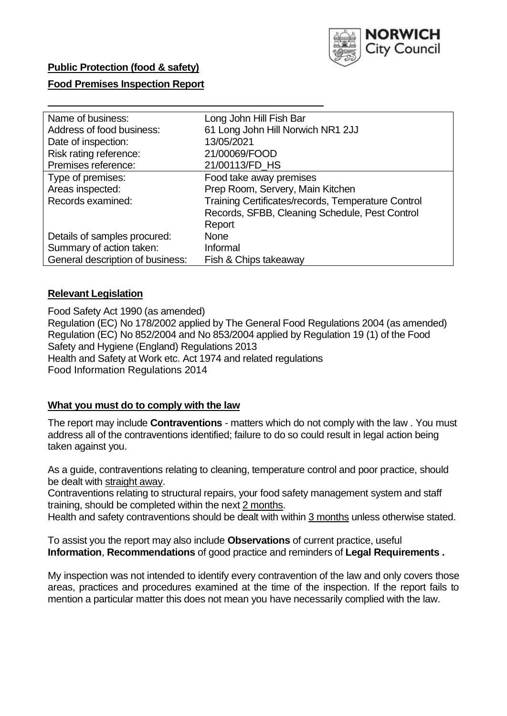

# **Public Protection (food & safety)**

# **Food Premises Inspection Report**

| Name of business:                | Long John Hill Fish Bar                            |
|----------------------------------|----------------------------------------------------|
| Address of food business:        | 61 Long John Hill Norwich NR1 2JJ                  |
| Date of inspection:              | 13/05/2021                                         |
| Risk rating reference:           | 21/00069/FOOD                                      |
| Premises reference:              | 21/00113/FD_HS                                     |
| Type of premises:                | Food take away premises                            |
| Areas inspected:                 | Prep Room, Servery, Main Kitchen                   |
| Records examined:                | Training Certificates/records, Temperature Control |
|                                  | Records, SFBB, Cleaning Schedule, Pest Control     |
|                                  | Report                                             |
| Details of samples procured:     | <b>None</b>                                        |
| Summary of action taken:         | Informal                                           |
| General description of business: | Fish & Chips takeaway                              |

# **Relevant Legislation**

 Food Safety Act 1990 (as amended) Regulation (EC) No 178/2002 applied by The General Food Regulations 2004 (as amended) Regulation (EC) No 852/2004 and No 853/2004 applied by Regulation 19 (1) of the Food Safety and Hygiene (England) Regulations 2013 Health and Safety at Work etc. Act 1974 and related regulations Food Information Regulations 2014

# **What you must do to comply with the law**

 The report may include **Contraventions** - matters which do not comply with the law . You must address all of the contraventions identified; failure to do so could result in legal action being taken against you.

 As a guide, contraventions relating to cleaning, temperature control and poor practice, should be dealt with straight away.

 Contraventions relating to structural repairs, your food safety management system and staff training, should be completed within the next 2 months.

Health and safety contraventions should be dealt with within 3 months unless otherwise stated.

 To assist you the report may also include **Observations** of current practice, useful **Information**, **Recommendations** of good practice and reminders of **Legal Requirements .** 

 My inspection was not intended to identify every contravention of the law and only covers those areas, practices and procedures examined at the time of the inspection. If the report fails to mention a particular matter this does not mean you have necessarily complied with the law.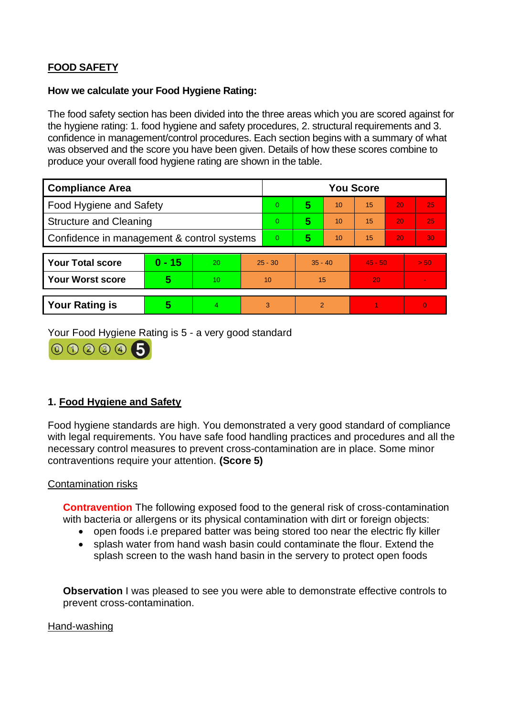# **FOOD SAFETY**

# **How we calculate your Food Hygiene Rating:**

 The food safety section has been divided into the three areas which you are scored against for the hygiene rating: 1. food hygiene and safety procedures, 2. structural requirements and 3. confidence in management/control procedures. Each section begins with a summary of what was observed and the score you have been given. Details of how these scores combine to produce your overall food hygiene rating are shown in the table.

| <b>Compliance Area</b>                     |          |    |                | <b>You Score</b> |                |    |           |    |          |  |  |
|--------------------------------------------|----------|----|----------------|------------------|----------------|----|-----------|----|----------|--|--|
| Food Hygiene and Safety                    |          |    |                | $\Omega$         | 5              | 10 | 15        | 20 | 25       |  |  |
| <b>Structure and Cleaning</b>              |          |    | $\overline{0}$ | 5                | 10             | 15 | 20        | 25 |          |  |  |
| Confidence in management & control systems |          |    | $\overline{0}$ | 5                | 10             | 15 | 20        | 30 |          |  |  |
|                                            |          |    |                |                  |                |    |           |    |          |  |  |
| <b>Your Total score</b>                    | $0 - 15$ | 20 | $25 - 30$      |                  | $35 - 40$      |    | $45 - 50$ |    | > 50     |  |  |
| <b>Your Worst score</b>                    | 5        | 10 | 10             |                  | 15             |    | 20        |    | $\sim$   |  |  |
|                                            |          |    |                |                  |                |    |           |    |          |  |  |
| <b>Your Rating is</b>                      | 5        | 4  |                | 3                | $\overline{2}$ |    |           |    | $\Omega$ |  |  |

Your Food Hygiene Rating is 5 - a very good standard



# **1. Food Hygiene and Safety**

 with legal requirements. You have safe food handling practices and procedures and all the Food hygiene standards are high. You demonstrated a very good standard of compliance necessary control measures to prevent cross-contamination are in place. Some minor contraventions require your attention. **(Score 5)** 

# Contamination risks

**Contravention** The following exposed food to the general risk of cross-contamination with bacteria or allergens or its physical contamination with dirt or foreign objects:

- open foods i.e prepared batter was being stored too near the electric fly killer
- • splash water from hand wash basin could contaminate the flour. Extend the splash screen to the wash hand basin in the servery to protect open foods

**Observation** I was pleased to see you were able to demonstrate effective controls to prevent cross-contamination.

#### Hand-washing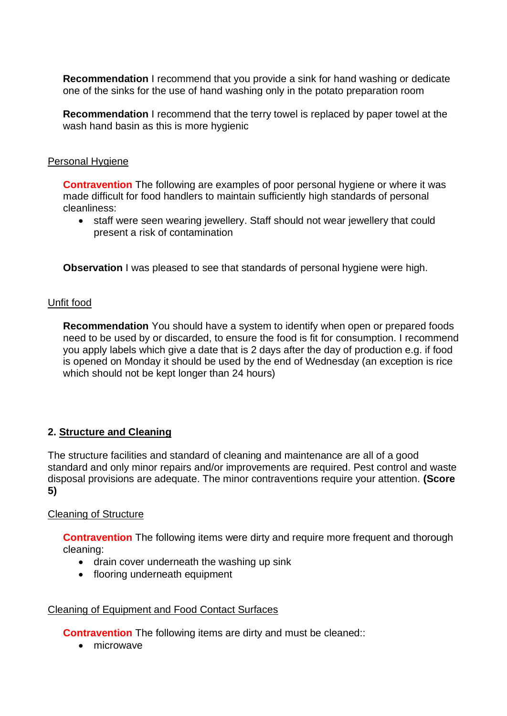**Recommendation** I recommend that you provide a sink for hand washing or dedicate one of the sinks for the use of hand washing only in the potato preparation room

**Recommendation** I recommend that the terry towel is replaced by paper towel at the wash hand basin as this is more hygienic

#### Personal Hygiene

**Contravention** The following are examples of poor personal hygiene or where it was made difficult for food handlers to maintain sufficiently high standards of personal cleanliness:

• staff were seen wearing jewellery. Staff should not wear jewellery that could present a risk of contamination

**Observation** I was pleased to see that standards of personal hygiene were high.

#### Unfit food

 **Recommendation** You should have a system to identify when open or prepared foods you apply labels which give a date that is 2 days after the day of production e.g. if food need to be used by or discarded, to ensure the food is fit for consumption. I recommend is opened on Monday it should be used by the end of Wednesday (an exception is rice which should not be kept longer than 24 hours)

# **2. Structure and Cleaning**

The structure facilities and standard of cleaning and maintenance are all of a good standard and only minor repairs and/or improvements are required. Pest control and waste disposal provisions are adequate. The minor contraventions require your attention. **(Score 5)** 

#### Cleaning of Structure

**Contravention** The following items were dirty and require more frequent and thorough cleaning:

- drain cover underneath the washing up sink
- flooring underneath equipment

#### Cleaning of Equipment and Food Contact Surfaces

**Contravention** The following items are dirty and must be cleaned::

• microwave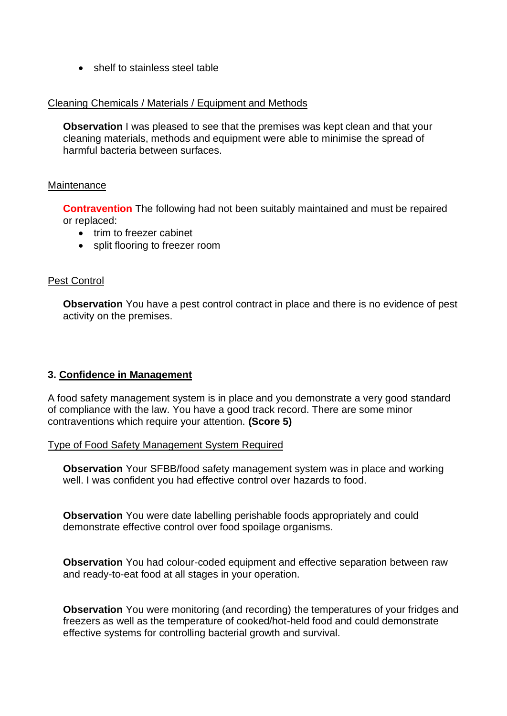• shelf to stainless steel table

### Cleaning Chemicals / Materials / Equipment and Methods

**Observation** I was pleased to see that the premises was kept clean and that your cleaning materials, methods and equipment were able to minimise the spread of harmful bacteria between surfaces.

#### **Maintenance**

**Contravention** The following had not been suitably maintained and must be repaired or replaced:

- trim to freezer cabinet
- split flooring to freezer room

# Pest Control

 activity on the premises. **Observation** You have a pest control contract in place and there is no evidence of pest

# **3. Confidence in Management**

 of compliance with the law. You have a good track record. There are some minor A food safety management system is in place and you demonstrate a very good standard contraventions which require your attention. **(Score 5)** 

Type of Food Safety Management System Required

**Observation** Your SFBB/food safety management system was in place and working well. I was confident you had effective control over hazards to food.

**Observation** You were date labelling perishable foods appropriately and could demonstrate effective control over food spoilage organisms.

**Observation** You had colour-coded equipment and effective separation between raw and ready-to-eat food at all stages in your operation.

 **Observation** You were monitoring (and recording) the temperatures of your fridges and freezers as well as the temperature of cooked/hot-held food and could demonstrate effective systems for controlling bacterial growth and survival.